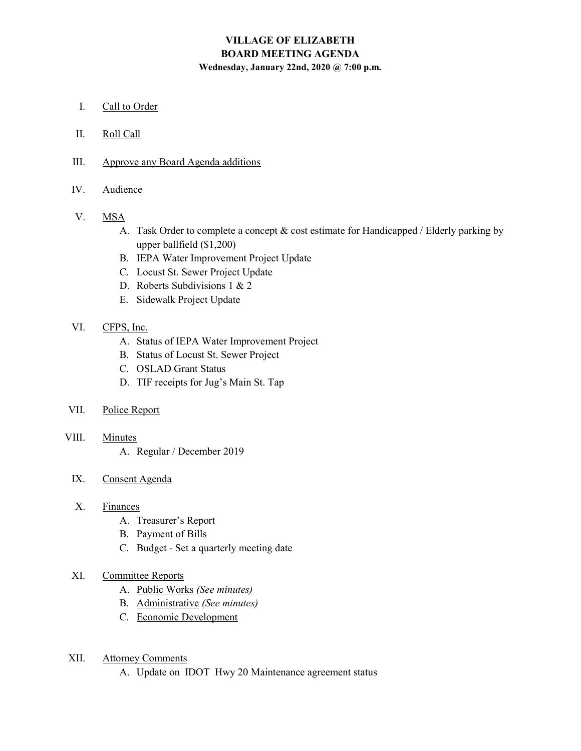## VILLAGE OF ELIZABETH BOARD MEETING AGENDA Wednesday, January 22nd, 2020 @ 7:00 p.m.

- I. Call to Order
- II. Roll Call
- III. Approve any Board Agenda additions
- IV. Audience
- V. MSA
	- A. Task Order to complete a concept & cost estimate for Handicapped / Elderly parking by upper ballfield (\$1,200)
	- B. IEPA Water Improvement Project Update
	- C. Locust St. Sewer Project Update
	- D. Roberts Subdivisions 1 & 2
	- E. Sidewalk Project Update
- VI. CFPS, Inc.
	- A. Status of IEPA Water Improvement Project
	- B. Status of Locust St. Sewer Project
	- C. OSLAD Grant Status
	- D. TIF receipts for Jug's Main St. Tap
- VII. Police Report
- VIII. Minutes
	- A. Regular / December 2019
	- IX. Consent Agenda
	- X. Finances
		- A. Treasurer's Report
		- B. Payment of Bills
		- C. Budget Set a quarterly meeting date
	- XI. Committee Reports
		- A. Public Works (See minutes)
		- B. Administrative (See minutes)
		- C. Economic Development
- XII. Attorney Comments
	- A. Update on IDOT Hwy 20 Maintenance agreement status